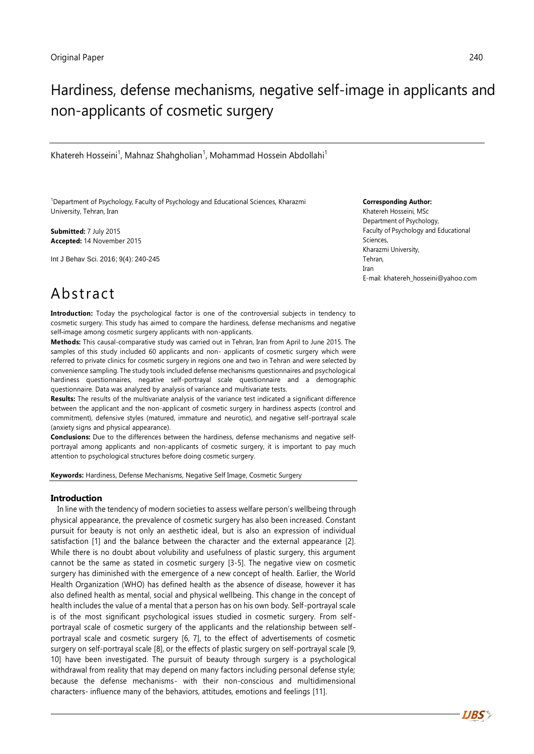# Hardiness, defense mechanisms, negative self-image in applicants and non-applicants of cosmetic surgery

Khatereh Hosseini<sup>1</sup>, Mahnaz Shahgholian<sup>1</sup>, Mohammad Hossein Abdollahi<sup>1</sup>

<sup>1</sup>Department of Psychology, Faculty of Psychology and Educational Sciences, Kharazmi University, Tehran, Iran

**Submitted:** 7 July 2015 **Accepted:** 14 November 2015

Int J Behav Sci. 2016; 9(4): 240-245

#### **Corresponding Author:**

Khatereh Hosseini, MSc Department of Psychology, Faculty of Psychology and Educational Sciences, Kharazmi University, Tehran, Iran E-mail: khatereh\_hosseini@yahoo.com

# Abstract

**Introduction:** Today the psychological factor is one of the controversial subjects in tendency to cosmetic surgery. This study has aimed to compare the hardiness, defense mechanisms and negative self-image among cosmetic surgery applicants with non-applicants.

**Methods:** This causal-comparative study was carried out in Tehran, Iran from April to June 2015. The samples of this study included 60 applicants and non- applicants of cosmetic surgery which were referred to private clinics for cosmetic surgery in regions one and two in Tehran and were selected by convenience sampling. The study tools included defense mechanisms questionnaires and psychological hardiness questionnaires, negative self-portrayal scale questionnaire and a demographic questionnaire. Data was analyzed by analysis of variance and multivariate tests.

**Results:** The results of the multivariate analysis of the variance test indicated a significant difference between the applicant and the non-applicant of cosmetic surgery in hardiness aspects (control and commitment), defensive styles (matured, immature and neurotic), and negative self-portrayal scale (anxiety signs and physical appearance).

**Conclusions:** Due to the differences between the hardiness, defense mechanisms and negative selfportrayal among applicants and non-applicants of cosmetic surgery, it is important to pay much attention to psychological structures before doing cosmetic surgery.

**Keywords:** Hardiness, Defense Mechanisms, Negative Self Image, Cosmetic Surgery

### **Introduction**

In line with the tendency of modern societies to assess welfare person's wellbeing through physical appearance, the prevalence of cosmetic surgery has also been increased. Constant pursuit for beauty is not only an aesthetic ideal, but is also an expression of individual satisfaction [1] and the balance between the character and the external appearance [2]. While there is no doubt about volubility and usefulness of plastic surgery, this argument cannot be the same as stated in cosmetic surgery [3-5]. The negative view on cosmetic surgery has diminished with the emergence of a new concept of health. Earlier, the World Health Organization (WHO) has defined health as the absence of disease, however it has also defined health as mental, social and physical wellbeing. This change in the concept of health includes the value of a mental that a person has on his own body. Self-portrayal scale is of the most significant psychological issues studied in cosmetic surgery. From selfportrayal scale of cosmetic surgery of the applicants and the relationship between selfportrayal scale and cosmetic surgery [6, 7], to the effect of advertisements of cosmetic surgery on self-portrayal scale [8], or the effects of plastic surgery on self-portrayal scale [9, 10] have been investigated. The pursuit of beauty through surgery is a psychological withdrawal from reality that may depend on many factors including personal defense style; because the defense mechanisms- with their non-conscious and multidimensional characters- influence many of the behaviors, attitudes, emotions and feelings [\[11\]](#page-4-0).

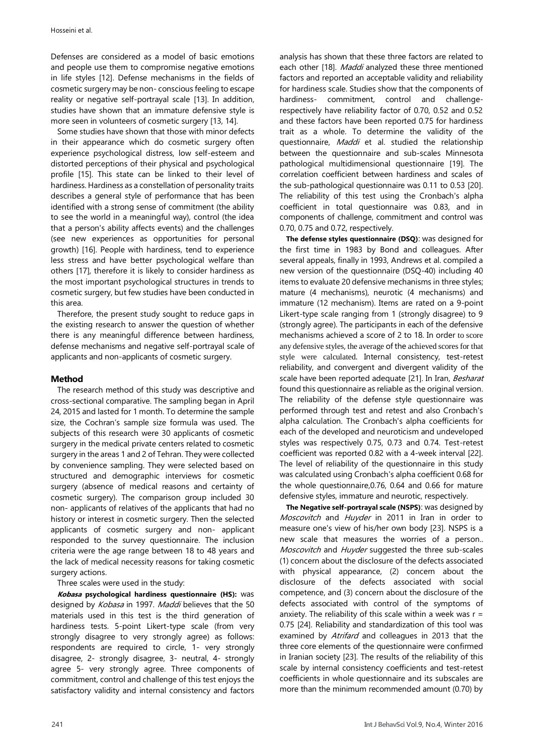Defenses are considered as a model of basic emotions and people use them to compromise negative emotions in life styles [\[12\]](#page-4-1). Defense mechanisms in the fields of cosmetic surgery may be non- conscious feeling to escape reality or negative self-portrayal scale [\[13\]](#page-4-2). In addition, studies have shown that an immature defensive style is more seen in volunteers of cosmetic surgery [\[13,](#page-4-2) [14\]](#page-5-0).

Some studies have shown that those with minor defects in their appearance which do cosmetic surgery often experience psychological distress, low self-esteem and distorted perceptions of their physical and psychological profile [\[15\]](#page-5-1). This state can be linked to their level of hardiness. Hardiness as a constellation of personality traits describes a general style of performance that has been identified with a strong sense of commitment (the ability to see the world in a meaningful way), control (the idea that a person's ability affects events) and the challenges (see new experiences as opportunities for personal growth) [\[16\]](#page-5-2). People with hardiness, tend to experience less stress and have better psychological welfare than others [\[17\],](#page-5-3) therefore it is likely to consider hardiness as the most important psychological structures in trends to cosmetic surgery, but few studies have been conducted in this area.

Therefore, the present study sought to reduce gaps in the existing research to answer the question of whether there is any meaningful difference between hardiness, defense mechanisms and negative self-portrayal scale of applicants and non-applicants of cosmetic surgery.

## **Method**

The research method of this study was descriptive and cross-sectional comparative. The sampling began in April 24, 2015 and lasted for 1 month. To determine the sample size, the Cochran's sample size formula was used. The subjects of this research were 30 applicants of cosmetic surgery in the medical private centers related to cosmetic surgery in the areas 1 and 2 of Tehran. They were collected by convenience sampling. They were selected based on structured and demographic interviews for cosmetic surgery (absence of medical reasons and certainty of cosmetic surgery). The comparison group included 30 non- applicants of relatives of the applicants that had no history or interest in cosmetic surgery. Then the selected applicants of cosmetic surgery and non- applicant responded to the survey questionnaire. The inclusion criteria were the age range between 18 to 48 years and the lack of medical necessity reasons for taking cosmetic surgery actions.

Three scales were used in the study:

**Kobasa psychological hardiness questionnaire (HS):** was designed by Kobasa in 1997. Maddi believes that the 50 materials used in this test is the third generation of hardiness tests. 5-point Likert-type scale (from very strongly disagree to very strongly agree) as follows: respondents are required to circle, 1- very strongly disagree, 2- strongly disagree, 3- neutral, 4- strongly agree 5- very strongly agree. Three components of commitment, control and challenge of this test enjoys the satisfactory validity and internal consistency and factors analysis has shown that these three factors are related to each other [\[18\]](#page-5-4). *Maddi* analyzed these three mentioned factors and reported an acceptable validity and reliability for hardiness scale. Studies show that the components of hardiness- commitment, control and challengerespectively have reliability factor of 0.70, 0.52 and 0.52 and these factors have been reported 0.75 for hardiness trait as a whole. To determine the validity of the questionnaire, Maddi et al. studied the relationship between the questionnaire and sub-scales Minnesota pathological multidimensional questionnaire [\[19\]](#page-5-5). The correlation coefficient between hardiness and scales of the sub-pathological questionnaire was 0.11 to 0.53 [\[20\]](#page-5-6). The reliability of this test using the Cronbach's alpha coefficient in total questionnaire was 0.83, and in components of challenge, commitment and control was 0.70, 0.75 and 0.72, respectively.

**The defense styles questionnaire (DSQ)**: was designed for the first time in 1983 by Bond and colleagues. After several appeals, finally in 1993, Andrews et al. compiled a new version of the questionnaire (DSQ-40) including 40 items to evaluate 20 defensive mechanisms in three styles; mature (4 mechanisms), neurotic (4 mechanisms) and immature (12 mechanism). Items are rated on a 9-point Likert-type scale ranging from 1 (strongly disagree) to 9 (strongly agree). The participants in each of the defensive mechanisms achieved a score of 2 to 18. In order to score any defensive styles, the average of the achieved scores for that style were calculated. Internal consistency, test-retest reliability, and convergent and divergent validity of the scale have been reported adequate [\[21\]](#page-5-7). In Iran, Besharat found this questionnaire as reliable as the original version. The reliability of the defense style questionnaire was performed through test and retest and also Cronbach's alpha calculation. The Cronbach's alpha coefficients for each of the developed and neuroticism and undeveloped styles was respectively 0.75, 0.73 and 0.74. Test-retest coefficient was reported 0.82 with a 4-week interval [\[22\]](#page-5-8). The level of reliability of the questionnaire in this study was calculated using Cronbach's alpha coefficient 0.68 for the whole questionnaire,0.76, 0.64 and 0.66 for mature defensive styles, immature and neurotic, respectively.

**The Negative self-portrayal scale (NSPS)**: was designed by Moscovitch and Huyder in 2011 in Iran in order to measure one's view of his/her own body [\[23\].](#page-5-9) NSPS is a new scale that measures the worries of a person.. Moscovitch and Huyder suggested the three sub-scales (1) concern about the disclosure of the defects associated with physical appearance, (2) concern about the disclosure of the defects associated with social competence, and (3) concern about the disclosure of the defects associated with control of the symptoms of anxiety. The reliability of this scale within a week was  $r =$ 0.75 [24]. Reliability and standardization of this tool was examined by *Atrifard* and colleagues in 2013 that the three core elements of the questionnaire were confirmed in Iranian society [\[23\]](#page-5-9). The results of the reliability of this scale by internal consistency coefficients and test-retest coefficients in whole questionnaire and its subscales are more than the minimum recommended amount (0.70) by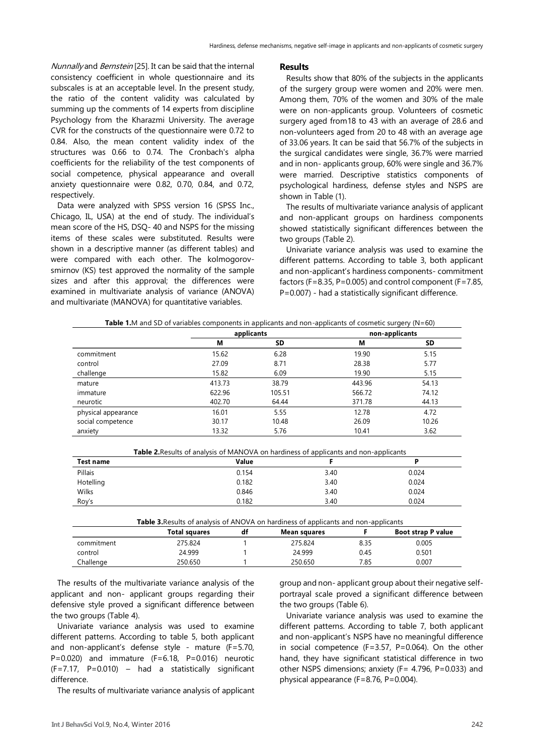Nunnally and Bernstein [\[25\]](#page-5-10). It can be said that the internal consistency coefficient in whole questionnaire and its subscales is at an acceptable level. In the present study, the ratio of the content validity was calculated by summing up the comments of 14 experts from discipline Psychology from the Kharazmi University. The average CVR for the constructs of the questionnaire were 0.72 to 0.84. Also, the mean content validity index of the structures was 0.66 to 0.74. The Cronbach's alpha coefficients for the reliability of the test components of social competence, physical appearance and overall anxiety questionnaire were 0.82, 0.70, 0.84, and 0.72, respectively.

Data were analyzed with SPSS version 16 (SPSS Inc., Chicago, IL, USA) at the end of study. The individual's mean score of the HS, DSQ- 40 and NSPS for the missing items of these scales were substituted. Results were shown in a descriptive manner (as different tables) and were compared with each other. The kolmogorovsmirnov (KS) test approved the normality of the sample sizes and after this approval; the differences were examined in multivariate analysis of variance (ANOVA) and multivariate (MANOVA) for quantitative variables.

#### **Results**

Results show that 80% of the subjects in the applicants of the surgery group were women and 20% were men. Among them, 70% of the women and 30% of the male were on non-applicants group. Volunteers of cosmetic surgery aged from18 to 43 with an average of 28.6 and non-volunteers aged from 20 to 48 with an average age of 33.06 years. It can be said that 56.7% of the subjects in the surgical candidates were single, 36.7% were married and in non- applicants group, 60% were single and 36.7% were married. Descriptive statistics components of psychological hardiness, defense styles and NSPS are shown in Table (1).

The results of multivariate variance analysis of applicant and non-applicant groups on hardiness components showed statistically significant differences between the two groups (Table 2).

Univariate variance analysis was used to examine the different patterns. According to table 3, both applicant and non-applicant's hardiness components- commitment factors (F=8.35, P=0.005) and control component (F=7.85, P=0.007) - had a statistically significant difference.

| <b>Table 1.</b> M and SD of variables components in applicants and non-applicants of cosmetic surgery ( $N=60$ ) |            |        |                |       |  |
|------------------------------------------------------------------------------------------------------------------|------------|--------|----------------|-------|--|
|                                                                                                                  | applicants |        | non-applicants |       |  |
|                                                                                                                  | М          | SD     | М              | SD    |  |
| commitment                                                                                                       | 15.62      | 6.28   | 19.90          | 5.15  |  |
| control                                                                                                          | 27.09      | 8.71   | 28.38          | 5.77  |  |
| challenge                                                                                                        | 15.82      | 6.09   | 19.90          | 5.15  |  |
| mature                                                                                                           | 413.73     | 38.79  | 443.96         | 54.13 |  |
| immature                                                                                                         | 622.96     | 105.51 | 566.72         | 74.12 |  |
| neurotic                                                                                                         | 402.70     | 64.44  | 371.78         | 44.13 |  |
| physical appearance                                                                                              | 16.01      | 5.55   | 12.78          | 4.72  |  |
| social competence                                                                                                | 30.17      | 10.48  | 26.09          | 10.26 |  |
| anxiety                                                                                                          | 13.32      | 5.76   | 10.41          | 3.62  |  |

**Table 2.**Results of analysis of MANOVA on hardiness of applicants and non-applicants

| Test name | Value |      | D     |
|-----------|-------|------|-------|
| Pillais   | 0.154 | 3.40 | 0.024 |
| Hotelling | 0.182 | 3.40 | 0.024 |
| Wilks     | 0.846 | 3.40 | 0.024 |
| Roy's     | 0.182 | 3.40 | 0.024 |

|            | Total squares | Mean squares |      | <b>Boot strap P value</b> |
|------------|---------------|--------------|------|---------------------------|
| commitment | 275.824       | 275.824      | 8.35 | 0.005                     |
| control    | 24.999        | 24.999       | 0.45 | 0.501                     |
| Challenge  | 250.650       | 250.650      | 7.85 | 0.007                     |

The results of the multivariate variance analysis of the applicant and non- applicant groups regarding their defensive style proved a significant difference between the two groups (Table 4).

Univariate variance analysis was used to examine different patterns. According to table 5, both applicant and non-applicant's defense style - mature (F=5.70, P=0.020) and immature (F=6.18, P=0.016) neurotic (F=7.17, P=0.010) – had a statistically significant difference.

The results of multivariate variance analysis of applicant

group and non- applicant group about their negative selfportrayal scale proved a significant difference between the two groups (Table 6).

Univariate variance analysis was used to examine the different patterns. According to table 7, both applicant and non-applicant's NSPS have no meaningful difference in social competence (F=3.57, P=0.064). On the other hand, they have significant statistical difference in two other NSPS dimensions; anxiety (F= 4.796, P=0.033) and physical appearance (F=8.76, P=0.004).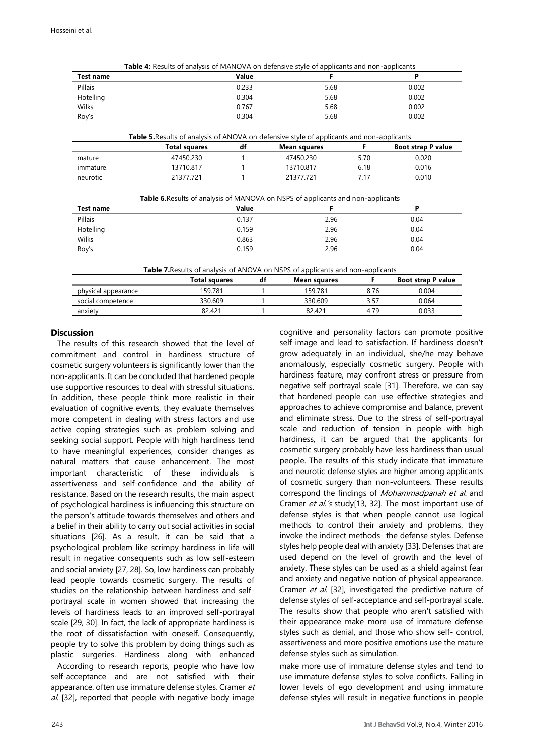| Test name    |                                                                                                  | Value | F            |      | P                         |
|--------------|--------------------------------------------------------------------------------------------------|-------|--------------|------|---------------------------|
| Pillais      |                                                                                                  | 0.233 | 5.68         |      | 0.002                     |
| Hotelling    |                                                                                                  | 0.304 | 5.68         |      | 0.002                     |
| <b>Wilks</b> |                                                                                                  | 0.767 | 5.68         |      | 0.002                     |
| Roy's        |                                                                                                  | 0.304 | 5.68         |      | 0.002                     |
|              | <b>Table 5. Results of analysis of ANOVA on defensive style of applicants and non-applicants</b> |       |              |      |                           |
|              | Total squares                                                                                    | df    | Mean squares | F.   | <b>Boot strap P value</b> |
| mature       | 47450.230                                                                                        |       | 47450.230    | 5.70 | 0.020                     |
| immature     | 13710.817                                                                                        |       | 13710.817    | 6.18 | 0.016                     |
| neurotic     | 21377.721                                                                                        |       | 21377.721    | 7.17 | 0.010                     |
|              | <b>Table 6.</b> Results of analysis of MANOVA on NSPS of applicants and non-applicants           |       |              |      |                           |
| Test name    |                                                                                                  | Value | F            |      | P                         |
| Pillais      |                                                                                                  | 0.137 | 2.96         |      | 0.04                      |
| Hotelling    |                                                                                                  | 0.159 | 2.96         |      | 0.04                      |
| Wilks        |                                                                                                  | 0.863 | 2.96         |      | 0.04                      |

| Table 4: Results of analysis of MANOVA on defensive style of applicants and non-applicants |  |
|--------------------------------------------------------------------------------------------|--|
|--------------------------------------------------------------------------------------------|--|

**Table 7.**Results of analysis of ANOVA on NSPS of applicants and non-applicants

Roy's 0.159 2.96 0.04

|                     | <b>Total squares</b> | df | Mean squares |      | <b>Boot strap P value</b> |
|---------------------|----------------------|----|--------------|------|---------------------------|
| physical appearance | 159.781              |    | 159.781      | 8.76 | 0.004                     |
| social competence   | 330.609              |    | 330.609      | 3.57 | 0.064                     |
| anxiety             | 82.421               |    | 82.421       | 4.79 | 0.033                     |

## **Discussion**

The results of this research showed that the level of commitment and control in hardiness structure of cosmetic surgery volunteers is significantly lower than the non-applicants. It can be concluded that hardened people use supportive resources to deal with stressful situations. In addition, these people think more realistic in their evaluation of cognitive events, they evaluate themselves more competent in dealing with stress factors and use active coping strategies such as problem solving and seeking social support. People with high hardiness tend to have meaningful experiences, consider changes as natural matters that cause enhancement. The most important characteristic of these individuals is assertiveness and self-confidence and the ability of resistance. Based on the research results, the main aspect of psychological hardiness is influencing this structure on the person's attitude towards themselves and others and a belief in their ability to carry out social activities in social situations [\[26\]](#page-5-11). As a result, it can be said that a psychological problem like scrimpy hardiness in life will result in negative consequents such as low self-esteem and social anxiety [\[27,](#page-5-12) [28\]](#page-5-13). So, low hardiness can probably lead people towards cosmetic surgery. The results of studies on the relationship between hardiness and selfportrayal scale in women showed that increasing the levels of hardiness leads to an improved self-portrayal scale [\[29,](#page-5-14) [30\]](#page-5-15). In fact, the lack of appropriate hardiness is the root of dissatisfaction with oneself. Consequently, people try to solve this problem by doing things such as plastic surgeries. Hardiness along with enhanced

According to research reports, people who have low self-acceptance and are not satisfied with their appearance, often use immature defense styles. Cramer et al. [\[32\],](#page-5-17) reported that people with negative body image

cognitive and personality factors can promote positive self-image and lead to satisfaction. If hardiness doesn't grow adequately in an individual, she/he may behave anomalously, especially cosmetic surgery. People with hardiness feature, may confront stress or pressure from negative self-portrayal scale [\[31\].](#page-5-16) Therefore, we can say that hardened people can use effective strategies and approaches to achieve compromise and balance, prevent and eliminate stress. Due to the stress of self-portrayal scale and reduction of tension in people with high hardiness, it can be argued that the applicants for cosmetic surgery probably have less hardiness than usual people. The results of this study indicate that immature and neurotic defense styles are higher among applicants of cosmetic surgery than non-volunteers. These results correspond the findings of Mohammadpanah et al. and Cramer et al.'s study[\[13,](#page-4-2) [32\]](#page-5-17). The most important use of defense styles is that when people cannot use logical methods to control their anxiety and problems, they invoke the indirect methods- the defense styles. Defense styles help people deal with anxiety [\[33\]](#page-5-18). Defenses that are used depend on the level of growth and the level of anxiety. These styles can be used as a shield against fear and anxiety and negative notion of physical appearance. Cramer et al. [\[32\]](#page-5-17), investigated the predictive nature of defense styles of self-acceptance and self-portrayal scale. The results show that people who aren't satisfied with their appearance make more use of immature defense styles such as denial, and those who show self- control, assertiveness and more positive emotions use the mature defense styles such as simulation.

make more use of immature defense styles and tend to use immature defense styles to solve conflicts. Falling in lower levels of ego development and using immature defense styles will result in negative functions in people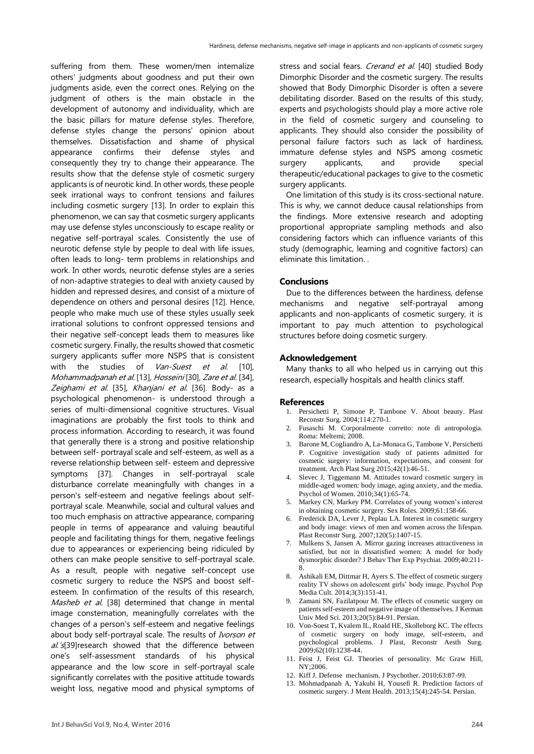suffering from them. These women/men internalize others' judgments about goodness and put their own judgments aside, even the correct ones. Relying on the judgment of others is the main obstacle in the development of autonomy and individuality, which are the basic pillars for mature defense styles. Therefore, defense styles change the persons' opinion about themselves. Dissatisfaction and shame of physical appearance confirms their defense styles and consequently they try to change their appearance. The results show that the defense style of cosmetic surgery applicants is of neurotic kind. In other words, these people seek irrational ways to confront tensions and failures including cosmetic surgery [\[13\]](#page-4-2). In order to explain this phenomenon, we can say that cosmetic surgery applicants may use defense styles unconsciously to escape reality or negative self-portrayal scales. Consistently the use of neurotic defense style by people to deal with life issues, often leads to long- term problems in relationships and work. In other words, neurotic defense styles are a series of non-adaptive strategies to deal with anxiety caused by hidden and repressed desires, and consist of a mixture of dependence on others and personal desires [\[12\]](#page-4-1). Hence, people who make much use of these styles usually seek irrational solutions to confront oppressed tensions and their negative self-concept leads them to measures like cosmetic surgery. Finally, the results showed that cosmetic surgery applicants suffer more NSPS that is consistent with the studies of Van-Suest et al. [\[10\]](#page-4-3), Mohammadpanah et al. [\[13\]](#page-4-2), Hosseini [\[30\]](#page-5-15), Zare et al. [\[34\]](#page-5-19), Zeighami et al. [\[35\]](#page-5-20), Khanjani et al. [\[36\]](#page-5-21). Body- as a psychological phenomenon- is understood through a series of multi-dimensional cognitive structures. Visual imaginations are probably the first tools to think and process information. According to research, it was found that generally there is a strong and positive relationship between self- portrayal scale and self-esteem, as well as a reverse relationship between self- esteem and depressive symptoms [\[37\]](#page-5-22). Changes in self-portrayal scale disturbance correlate meaningfully with changes in a person's self-esteem and negative feelings about selfportrayal scale. Meanwhile, social and cultural values and too much emphasis on attractive appearance, comparing people in terms of appearance and valuing beautiful people and facilitating things for them, negative feelings due to appearances or experiencing being ridiculed by others can make people sensitive to self-portrayal scale. As a result, people with negative self-concept use cosmetic surgery to reduce the NSPS and boost selfesteem. In confirmation of the results of this research, Masheb et al. [\[38\]](#page-5-23) determined that change in mental image consternation, meaningfully correlates with the changes of a person's self-esteem and negative feelings about body self-portrayal scale. The results of Ivorson et al.'s salice 39] al.'s 39] research showed that the difference between one's self-assessment standards of his physical appearance and the low score in self-portrayal scale significantly correlates with the positive attitude towards weight loss, negative mood and physical symptoms of

stress and social fears. Crerand et al. [\[40\]](#page-5-25) studied Body Dimorphic Disorder and the cosmetic surgery. The results showed that Body Dimorphic Disorder is often a severe debilitating disorder. Based on the results of this study, experts and psychologists should play a more active role in the field of cosmetic surgery and counseling to applicants. They should also consider the possibility of personal failure factors such as lack of hardiness, immature defense styles and NSPS among cosmetic surgery applicants, and provide special therapeutic/educational packages to give to the cosmetic surgery applicants.

One limitation of this study is its cross-sectional nature. This is why, we cannot deduce causal relationships from the findings. More extensive research and adopting proportional appropriate sampling methods and also considering factors which can influence variants of this study (demographic, learning and cognitive factors) can eliminate this limitation. .

### **Conclusions**

Due to the differences between the hardiness, defense mechanisms and negative self-portrayal among applicants and non-applicants of cosmetic surgery, it is important to pay much attention to psychological structures before doing cosmetic surgery.

### **Acknowledgement**

Many thanks to all who helped us in carrying out this research, especially hospitals and health clinics staff.

#### **References**

- 1. Persichetti P, Simone P, Tambone V. About beauty. Plast Reconstr Surg. 2004;114:270-1.
- 2. Fusaschi M. Corporalmente corretto: note di antropologia. Roma: Meltemi; 2008.
- 3. Barone M, Cogliandro A, La-Monaca G, Tambone V, Persichetti P. Cognitive investigation study of patients admitted for cosmetic surgery: information, expectations, and consent for treatment. Arch Plast Surg 2015;42(1):46-51.
- 4. Slevec J, Tiggemann M. Attitudes toward cosmetic surgery in middle-aged women: body image, aging anxiety, and the media. Psychol of Women. 2010;34(1):65-74.
- 5. Markey CN, Markey PM. Correlates of young women's interest in obtaining cosmetic surgery. Sex Roles. 2009;61:158-66.
- 6. Frederick DA, Lever J, Peplau LA. Interest in cosmetic surgery and body image: views of men and women across the lifespan. Plast Reconstr Surg. 2007;120(5):1407-15.
- 7. Mulkens S, Jansen A. Mirror gazing increases attractiveness in satisfied, but not in dissatisfied women: A model for body dysmorphic disorder? J Behav Ther Exp Psychiat. 2009;40:211- 8.
- 8. Ashikali EM, Dittmar H, Ayers S. The effect of cosmetic surgery reality TV shows on adolescent girls' body image. Psychol Pop Media Cult. 2014;3(3):151-41.
- 9. Zamani SN, Fazilatpour M. The effects of cosmetic surgery on patients self-esteem and negative image of themselves. J Kerman Univ Med Sci. 2013;20(5):84-91. Persian.
- <span id="page-4-3"></span>10. Von-Soest T, Kvalem IL, Roald HE, Skolleborg KC. The effects of cosmetic surgery on body image, self-esteem, and psychological problems. J Plast, Reconstr Aesth Surg.  $2009;62(10):1238-44.$
- <span id="page-4-0"></span>11. Feist J, Feist GJ. Theories of personality. Mc Graw Hill, NY;2006.
- <span id="page-4-1"></span>12. Kiff J. Defense mechanism. J Psychother. 2010;63:87-99.
- <span id="page-4-2"></span>13. Mohmadpanah A, Yakubi H, Yousefi R. Prediction factors of cosmetic surgery. J Ment Health. 2013;15(4):245-54. Persian.